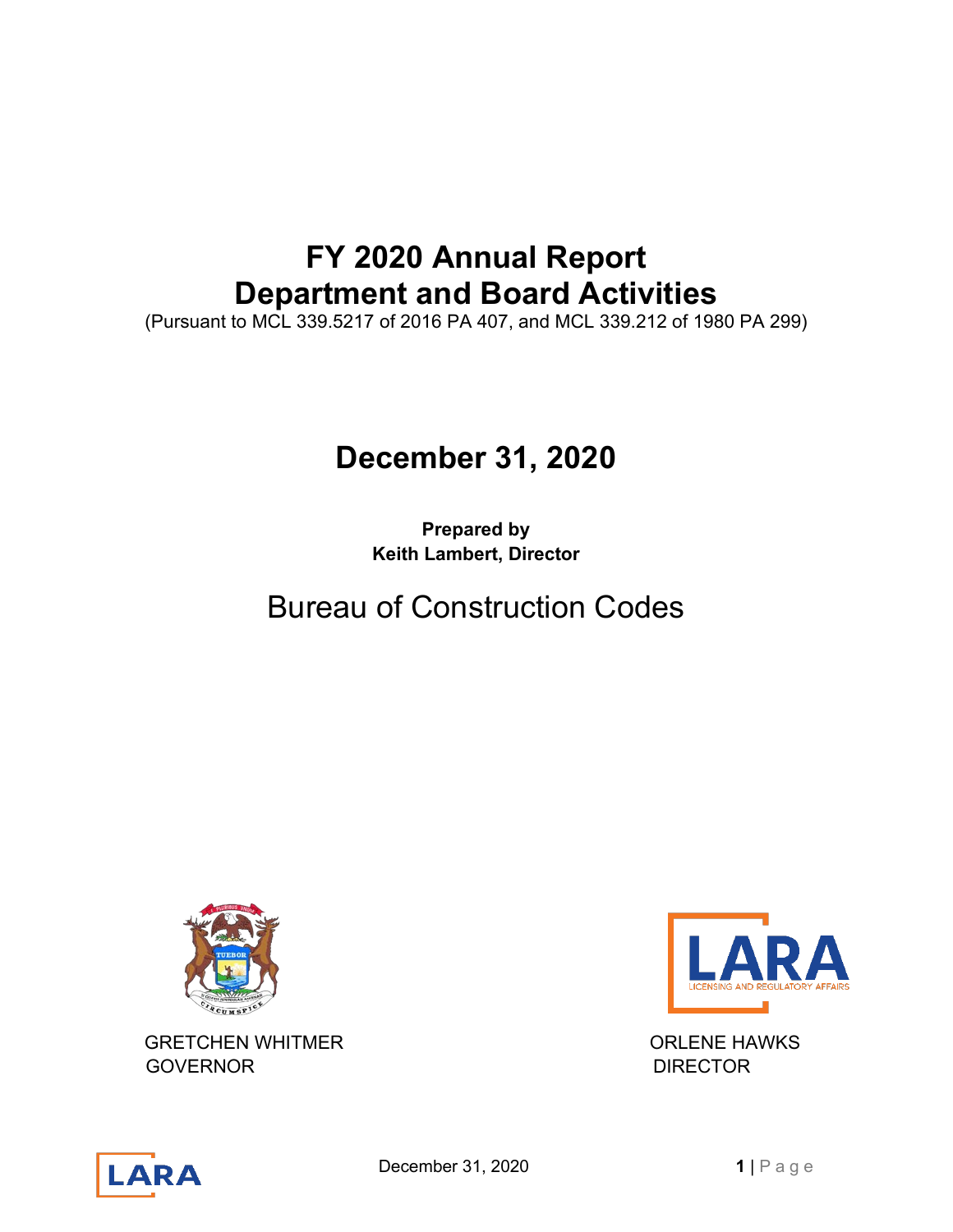# **FY 2020 Annual Report Department and Board Activities**

(Pursuant to MCL 339.5217 of 2016 PA 407, and MCL 339.212 of 1980 PA 299)

# **December 31, 2020**

**Prepared by Keith Lambert, Director**

# Bureau of Construction Codes



GRETCHEN WHITMER **ORLENE HAWKS** GOVERNOR **DIRECTOR** 





**December 31, 2020 1** | Page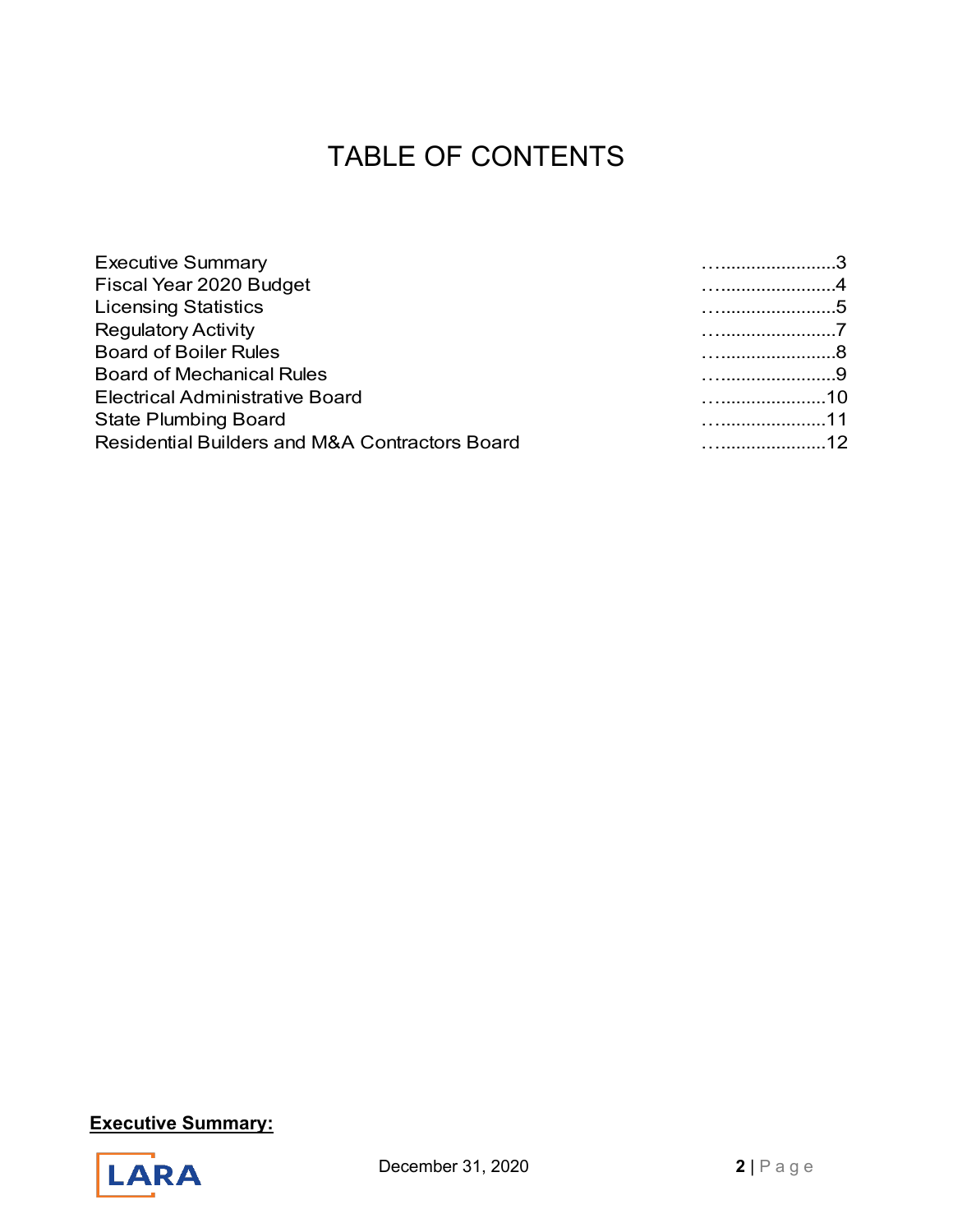# TABLE OF CONTENTS

| <b>Executive Summary</b>                       |           |
|------------------------------------------------|-----------|
| Fiscal Year 2020 Budget                        |           |
| <b>Licensing Statistics</b>                    |           |
| <b>Regulatory Activity</b>                     |           |
| <b>Board of Boiler Rules</b>                   |           |
| <b>Board of Mechanical Rules</b>               |           |
| <b>Electrical Administrative Board</b>         | $\sim$ 10 |
| <b>State Plumbing Board</b>                    | 11        |
| Residential Builders and M&A Contractors Board | 12        |



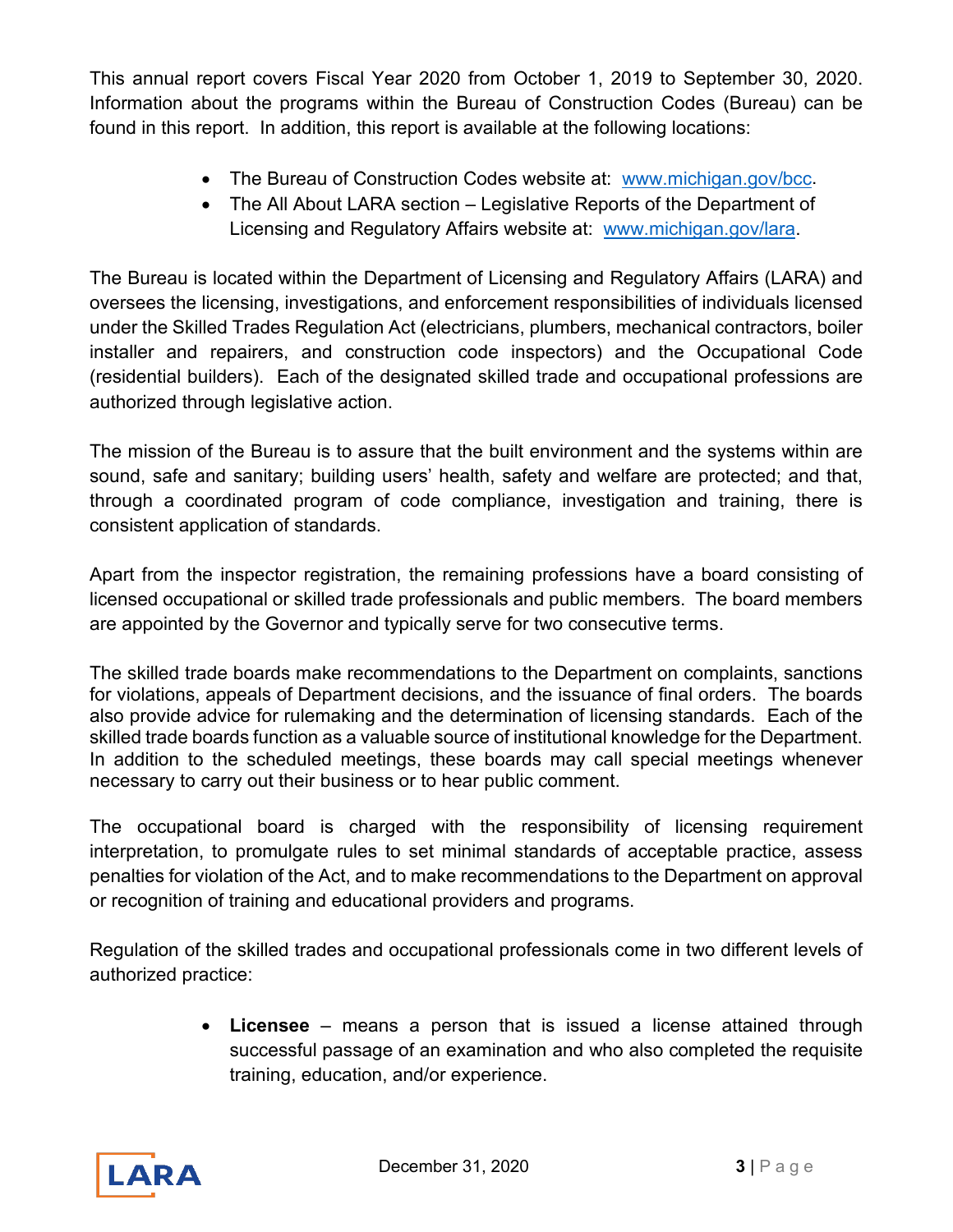This annual report covers Fiscal Year 2020 from October 1, 2019 to September 30, 2020. Information about the programs within the Bureau of Construction Codes (Bureau) can be found in this report. In addition, this report is available at the following locations:

- The Bureau of Construction Codes website at: [www.michigan.gov/bcc.](http://www.michigan.gov/bcc)
- The All About LARA section Legislative Reports of the Department of Licensing and Regulatory Affairs website at: [www.michigan.gov/lara.](http://www.michigan.gov/lara)

The Bureau is located within the Department of Licensing and Regulatory Affairs (LARA) and oversees the licensing, investigations, and enforcement responsibilities of individuals licensed under the Skilled Trades Regulation Act (electricians, plumbers, mechanical contractors, boiler installer and repairers, and construction code inspectors) and the Occupational Code (residential builders). Each of the designated skilled trade and occupational professions are authorized through legislative action.

The mission of the Bureau is to assure that the built environment and the systems within are sound, safe and sanitary; building users' health, safety and welfare are protected; and that, through a coordinated program of code compliance, investigation and training, there is consistent application of standards.

Apart from the inspector registration, the remaining professions have a board consisting of licensed occupational or skilled trade professionals and public members. The board members are appointed by the Governor and typically serve for two consecutive terms.

The skilled trade boards make recommendations to the Department on complaints, sanctions for violations, appeals of Department decisions, and the issuance of final orders. The boards also provide advice for rulemaking and the determination of licensing standards. Each of the skilled trade boards function as a valuable source of institutional knowledge for the Department. In addition to the scheduled meetings, these boards may call special meetings whenever necessary to carry out their business or to hear public comment.

The occupational board is charged with the responsibility of licensing requirement interpretation, to promulgate rules to set minimal standards of acceptable practice, assess penalties for violation of the Act, and to make recommendations to the Department on approval or recognition of training and educational providers and programs.

Regulation of the skilled trades and occupational professionals come in two different levels of authorized practice:

> • **Licensee** – means a person that is issued a license attained through successful passage of an examination and who also completed the requisite training, education, and/or experience.

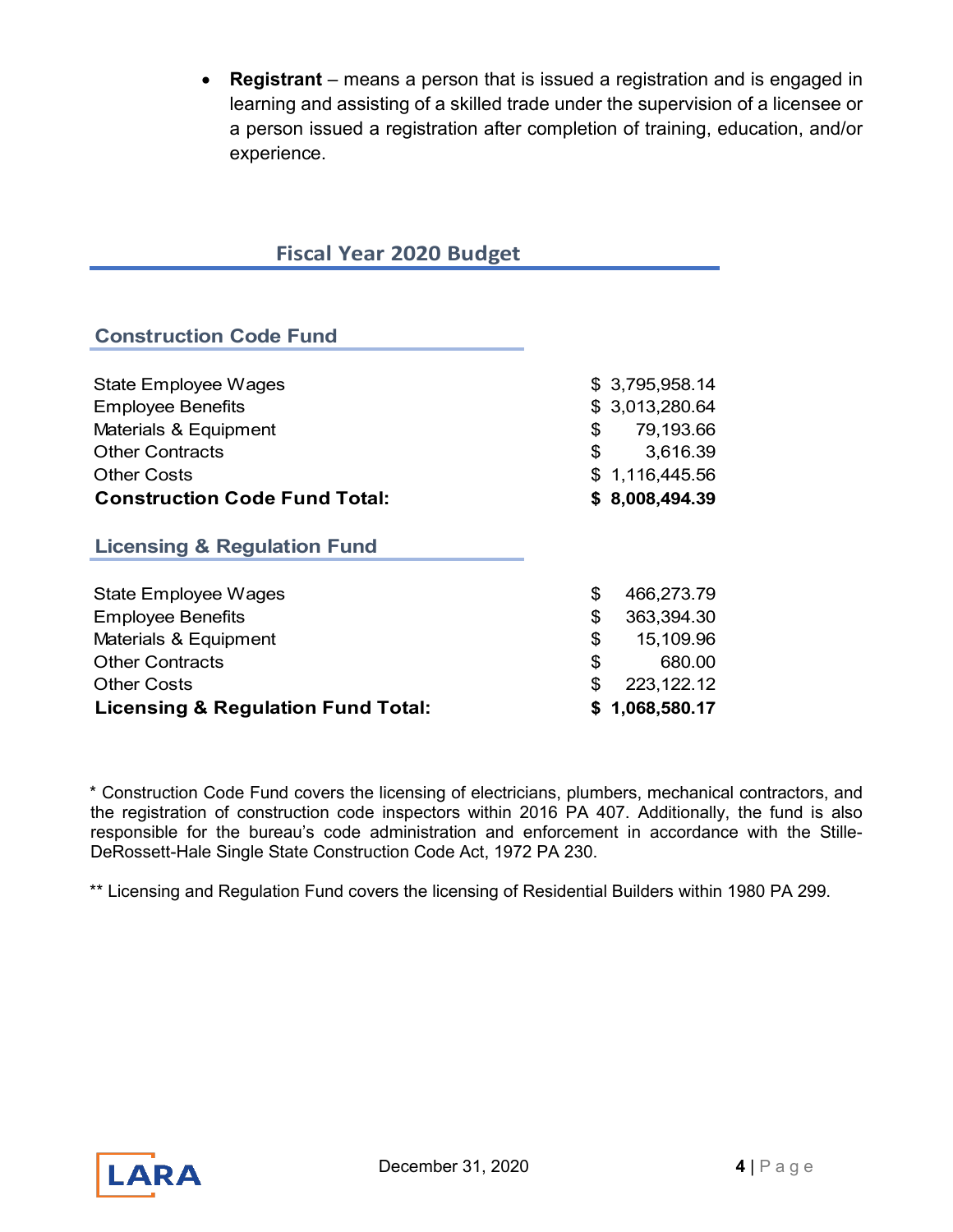• **Registrant** – means a person that is issued a registration and is engaged in learning and assisting of a skilled trade under the supervision of a licensee or a person issued a registration after completion of training, education, and/or experience.

# **Fiscal Year 2020 Budget**

# **Construction Code Fund**

| State Employee Wages                          | \$3,795,958.14   |
|-----------------------------------------------|------------------|
| <b>Employee Benefits</b>                      | \$ 3,013,280.64  |
| Materials & Equipment                         | \$<br>79,193.66  |
| <b>Other Contracts</b>                        | \$<br>3,616.39   |
| <b>Other Costs</b>                            | \$1,116,445.56   |
| <b>Construction Code Fund Total:</b>          | \$8,008,494.39   |
| <b>Licensing &amp; Regulation Fund</b>        |                  |
| <b>State Employee Wages</b>                   | \$<br>466,273.79 |
| <b>Employee Benefits</b>                      | \$<br>363,394.30 |
| Materials & Equipment                         | \$<br>15,109.96  |
| <b>Other Contracts</b>                        | \$<br>680.00     |
| <b>Other Costs</b>                            | \$<br>223,122.12 |
| <b>Licensing &amp; Regulation Fund Total:</b> | \$1,068,580.17   |

\* Construction Code Fund covers the licensing of electricians, plumbers, mechanical contractors, and the registration of construction code inspectors within 2016 PA 407. Additionally, the fund is also responsible for the bureau's code administration and enforcement in accordance with the Stille-DeRossett-Hale Single State Construction Code Act, 1972 PA 230.

\*\* Licensing and Regulation Fund covers the licensing of Residential Builders within 1980 PA 299.

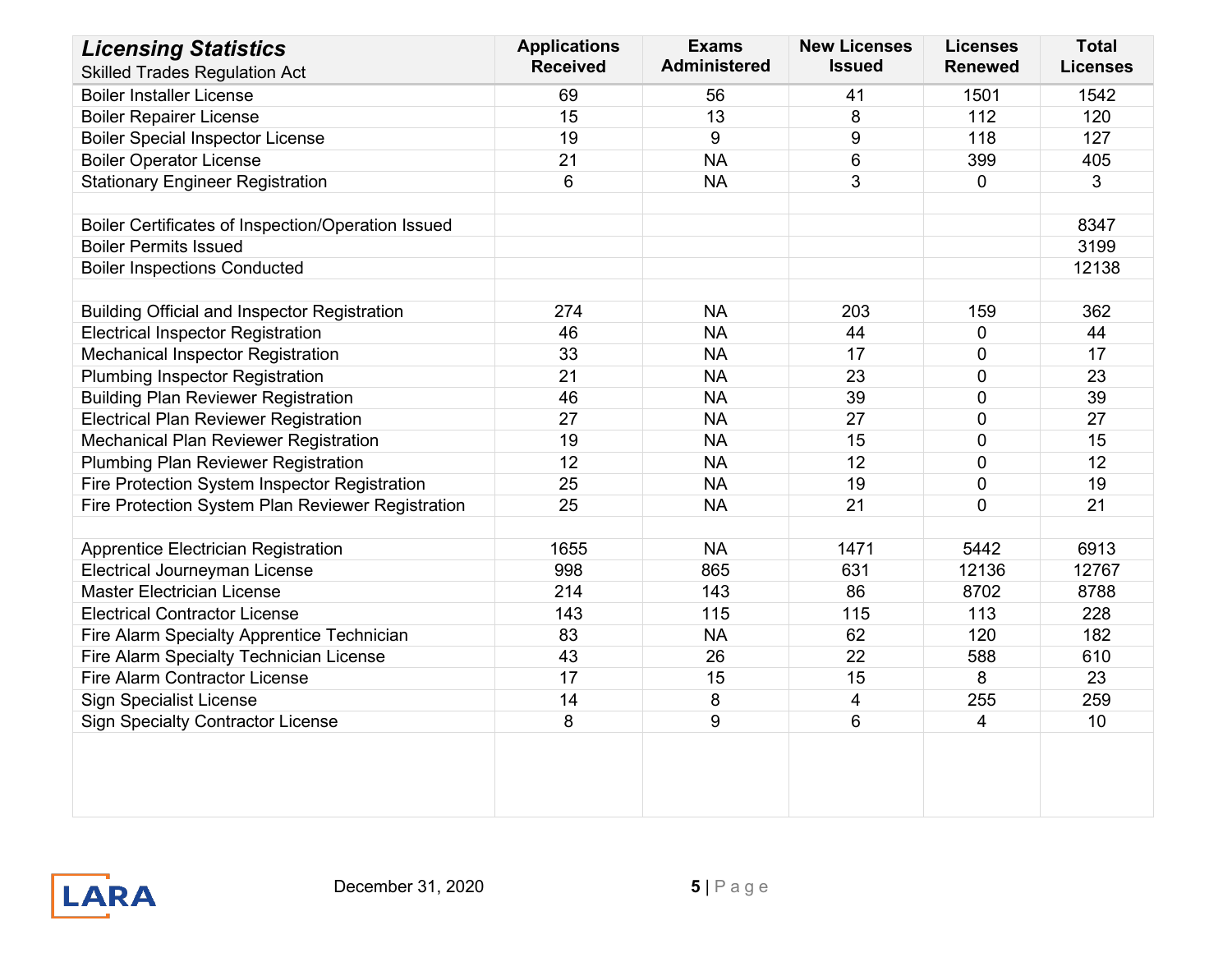| <b>Licensing Statistics</b>                         | <b>Applications</b> | <b>Exams</b>        | <b>New Licenses</b> | <b>Licenses</b>          | <b>Total</b>    |
|-----------------------------------------------------|---------------------|---------------------|---------------------|--------------------------|-----------------|
| <b>Skilled Trades Regulation Act</b>                | <b>Received</b>     | <b>Administered</b> | <b>Issued</b>       | <b>Renewed</b>           | <b>Licenses</b> |
| <b>Boiler Installer License</b>                     | 69                  | 56                  | 41                  | 1501                     | 1542            |
| <b>Boiler Repairer License</b>                      | 15                  | 13                  | 8                   | 112                      | 120             |
| <b>Boiler Special Inspector License</b>             | 19                  | $\boldsymbol{9}$    | 9                   | 118                      | 127             |
| <b>Boiler Operator License</b>                      | 21                  | <b>NA</b>           | 6                   | 399                      | 405             |
| <b>Stationary Engineer Registration</b>             | 6                   | <b>NA</b>           | 3                   | $\mathbf{0}$             | 3               |
|                                                     |                     |                     |                     |                          |                 |
| Boiler Certificates of Inspection/Operation Issued  |                     |                     |                     |                          | 8347            |
| <b>Boiler Permits Issued</b>                        |                     |                     |                     |                          | 3199            |
| <b>Boiler Inspections Conducted</b>                 |                     |                     |                     |                          | 12138           |
|                                                     |                     |                     |                     |                          |                 |
| <b>Building Official and Inspector Registration</b> | 274                 | <b>NA</b>           | 203                 | 159                      | 362             |
| <b>Electrical Inspector Registration</b>            | 46                  | <b>NA</b>           | 44                  | $\pmb{0}$                | 44              |
| Mechanical Inspector Registration                   | 33                  | <b>NA</b>           | 17                  | $\mathbf 0$              | 17              |
| <b>Plumbing Inspector Registration</b>              | 21                  | <b>NA</b>           | 23                  | $\mathbf 0$              | 23              |
| <b>Building Plan Reviewer Registration</b>          | 46                  | <b>NA</b>           | 39                  | $\mathbf 0$              | 39              |
| <b>Electrical Plan Reviewer Registration</b>        | 27                  | <b>NA</b>           | 27                  | $\pmb{0}$                | 27              |
| <b>Mechanical Plan Reviewer Registration</b>        | 19                  | <b>NA</b>           | 15                  | $\mathbf 0$              | 15              |
| <b>Plumbing Plan Reviewer Registration</b>          | 12                  | <b>NA</b>           | 12                  | $\mathbf 0$              | 12              |
| Fire Protection System Inspector Registration       | 25                  | <b>NA</b>           | 19                  | $\mathbf 0$              | 19              |
| Fire Protection System Plan Reviewer Registration   | 25                  | <b>NA</b>           | 21                  | $\Omega$                 | 21              |
|                                                     |                     |                     |                     |                          |                 |
| Apprentice Electrician Registration                 | 1655                | <b>NA</b>           | 1471                | 5442                     | 6913            |
| Electrical Journeyman License                       | 998                 | 865                 | 631                 | 12136                    | 12767           |
| <b>Master Electrician License</b>                   | 214                 | 143                 | 86                  | 8702                     | 8788            |
| <b>Electrical Contractor License</b>                | 143                 | 115                 | 115                 | 113                      | 228             |
| Fire Alarm Specialty Apprentice Technician          | 83                  | <b>NA</b>           | 62                  | 120                      | 182             |
| Fire Alarm Specialty Technician License             | 43                  | 26                  | 22                  | 588                      | 610             |
| <b>Fire Alarm Contractor License</b>                | 17                  | 15                  | 15                  | 8                        | 23              |
| <b>Sign Specialist License</b>                      | 14                  | 8                   | 4                   | 255                      | 259             |
| <b>Sign Specialty Contractor License</b>            | 8                   | 9                   | 6                   | $\overline{\mathcal{A}}$ | 10              |
|                                                     |                     |                     |                     |                          |                 |
|                                                     |                     |                     |                     |                          |                 |

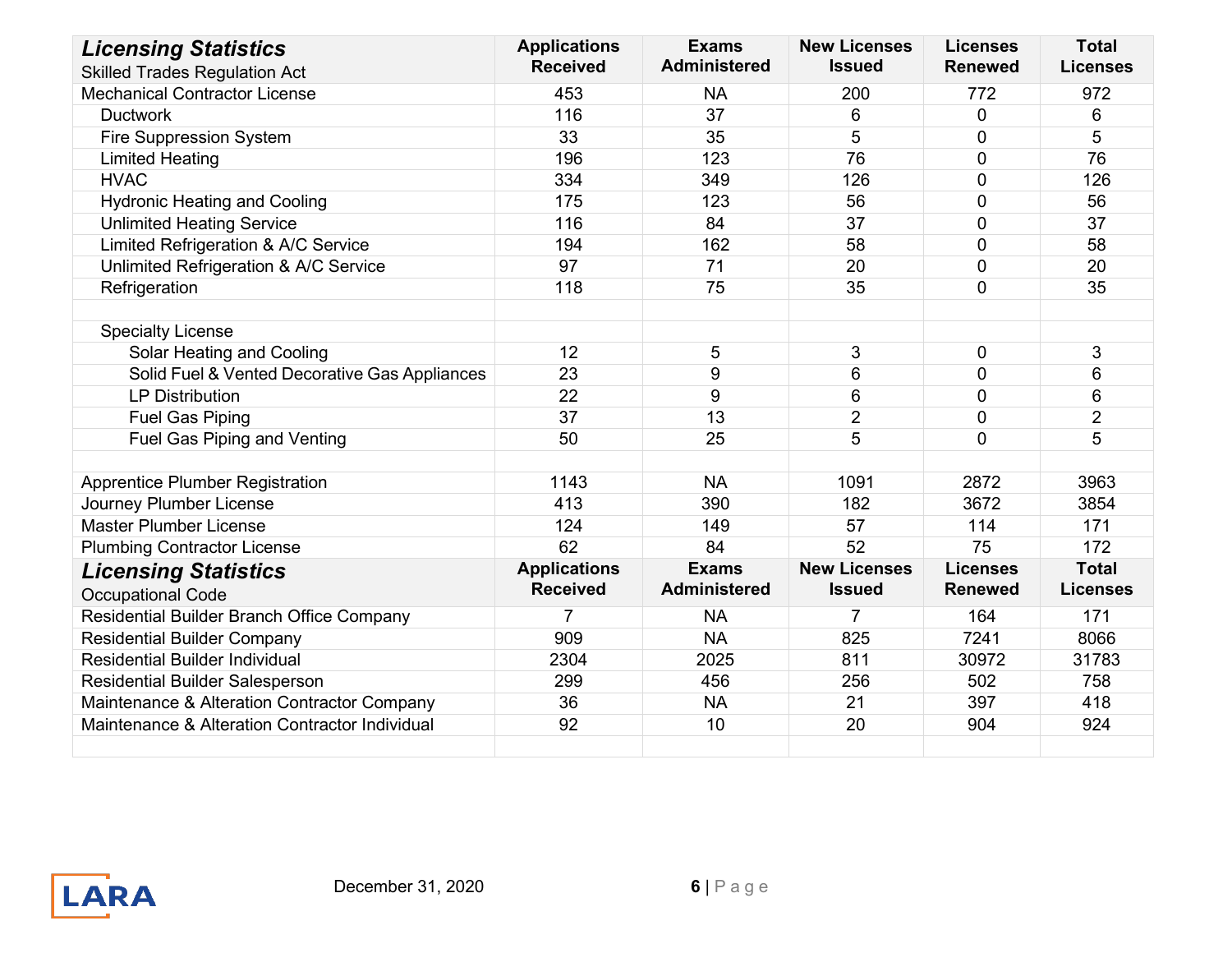| <b>Licensing Statistics</b>                    | <b>Applications</b> | <b>Exams</b>        | <b>New Licenses</b> | <b>Licenses</b> | <b>Total</b>    |
|------------------------------------------------|---------------------|---------------------|---------------------|-----------------|-----------------|
| <b>Skilled Trades Regulation Act</b>           | <b>Received</b>     | <b>Administered</b> | <b>Issued</b>       | <b>Renewed</b>  | <b>Licenses</b> |
| <b>Mechanical Contractor License</b>           | 453                 | <b>NA</b>           | 200                 | 772             | 972             |
| <b>Ductwork</b>                                | 116                 | 37                  | 6                   | $\mathbf 0$     | 6               |
| Fire Suppression System                        | 33                  | 35                  | 5                   | $\mathbf 0$     | 5               |
| <b>Limited Heating</b>                         | 196                 | 123                 | 76                  | $\overline{0}$  | 76              |
| <b>HVAC</b>                                    | 334                 | 349                 | 126                 | $\Omega$        | 126             |
| <b>Hydronic Heating and Cooling</b>            | 175                 | 123                 | 56                  | $\mathbf{0}$    | 56              |
| <b>Unlimited Heating Service</b>               | 116                 | 84                  | 37                  | $\overline{0}$  | 37              |
| Limited Refrigeration & A/C Service            | 194                 | 162                 | 58                  | $\overline{0}$  | 58              |
| Unlimited Refrigeration & A/C Service          | 97                  | 71                  | 20                  | $\overline{0}$  | 20              |
| Refrigeration                                  | 118                 | 75                  | 35                  | $\overline{0}$  | 35              |
|                                                |                     |                     |                     |                 |                 |
| <b>Specialty License</b>                       |                     |                     |                     |                 |                 |
| Solar Heating and Cooling                      | 12                  | 5                   | 3                   | $\mathbf 0$     | 3               |
| Solid Fuel & Vented Decorative Gas Appliances  | 23                  | 9                   | 6                   | $\mathbf 0$     | 6               |
| <b>LP Distribution</b>                         | 22                  | 9                   | 6                   | $\Omega$        | 6               |
| <b>Fuel Gas Piping</b>                         | 37                  | 13                  | $\overline{2}$      | $\overline{0}$  | $\overline{2}$  |
| <b>Fuel Gas Piping and Venting</b>             | 50                  | 25                  | 5                   | $\Omega$        | 5               |
|                                                |                     |                     |                     |                 |                 |
| <b>Apprentice Plumber Registration</b>         | 1143                | <b>NA</b>           | 1091                | 2872            | 3963            |
| Journey Plumber License                        | 413                 | 390                 | 182                 | 3672            | 3854            |
| <b>Master Plumber License</b>                  | 124                 | 149                 | 57                  | 114             | 171             |
| <b>Plumbing Contractor License</b>             | 62                  | 84                  | 52                  | 75              | 172             |
| <b>Licensing Statistics</b>                    | <b>Applications</b> | <b>Exams</b>        | <b>New Licenses</b> | <b>Licenses</b> | <b>Total</b>    |
| <b>Occupational Code</b>                       | <b>Received</b>     | <b>Administered</b> | <b>Issued</b>       | <b>Renewed</b>  | <b>Licenses</b> |
| Residential Builder Branch Office Company      | $\overline{7}$      | <b>NA</b>           | $\overline{7}$      | 164             | 171             |
| <b>Residential Builder Company</b>             | 909                 | <b>NA</b>           | 825                 | 7241            | 8066            |
| <b>Residential Builder Individual</b>          | 2304                | 2025                | 811                 | 30972           | 31783           |
| <b>Residential Builder Salesperson</b>         | 299                 | 456                 | 256                 | 502             | 758             |
| Maintenance & Alteration Contractor Company    | 36                  | <b>NA</b>           | 21                  | 397             | 418             |
| Maintenance & Alteration Contractor Individual | 92                  | 10                  | 20                  | 904             | 924             |
|                                                |                     |                     |                     |                 |                 |

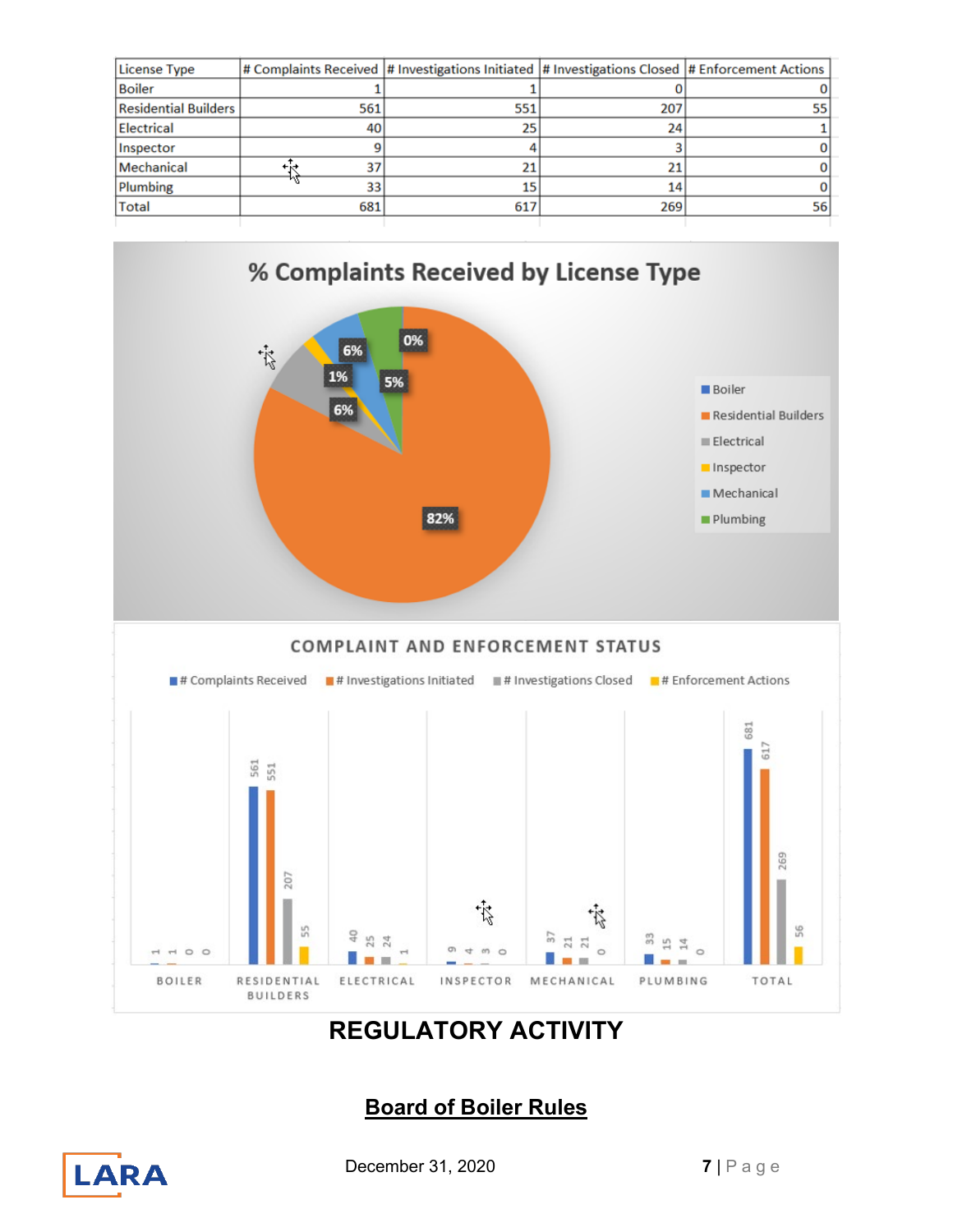| 561 | 551 | 207 | 55                                                                                                |
|-----|-----|-----|---------------------------------------------------------------------------------------------------|
| 40  | 25  | 24  |                                                                                                   |
|     |     |     |                                                                                                   |
| 37  |     | 21  |                                                                                                   |
| 33  | 15  | 14  |                                                                                                   |
| 681 | 617 | 269 | 56                                                                                                |
|     |     |     | # Complaints Received  # Investigations Initiated  # Investigations Closed  # Enforcement Actions |



# **REGULATORY ACTIVITY**

# **Board of Boiler Rules**



**December 31, 2020 7** | P a g e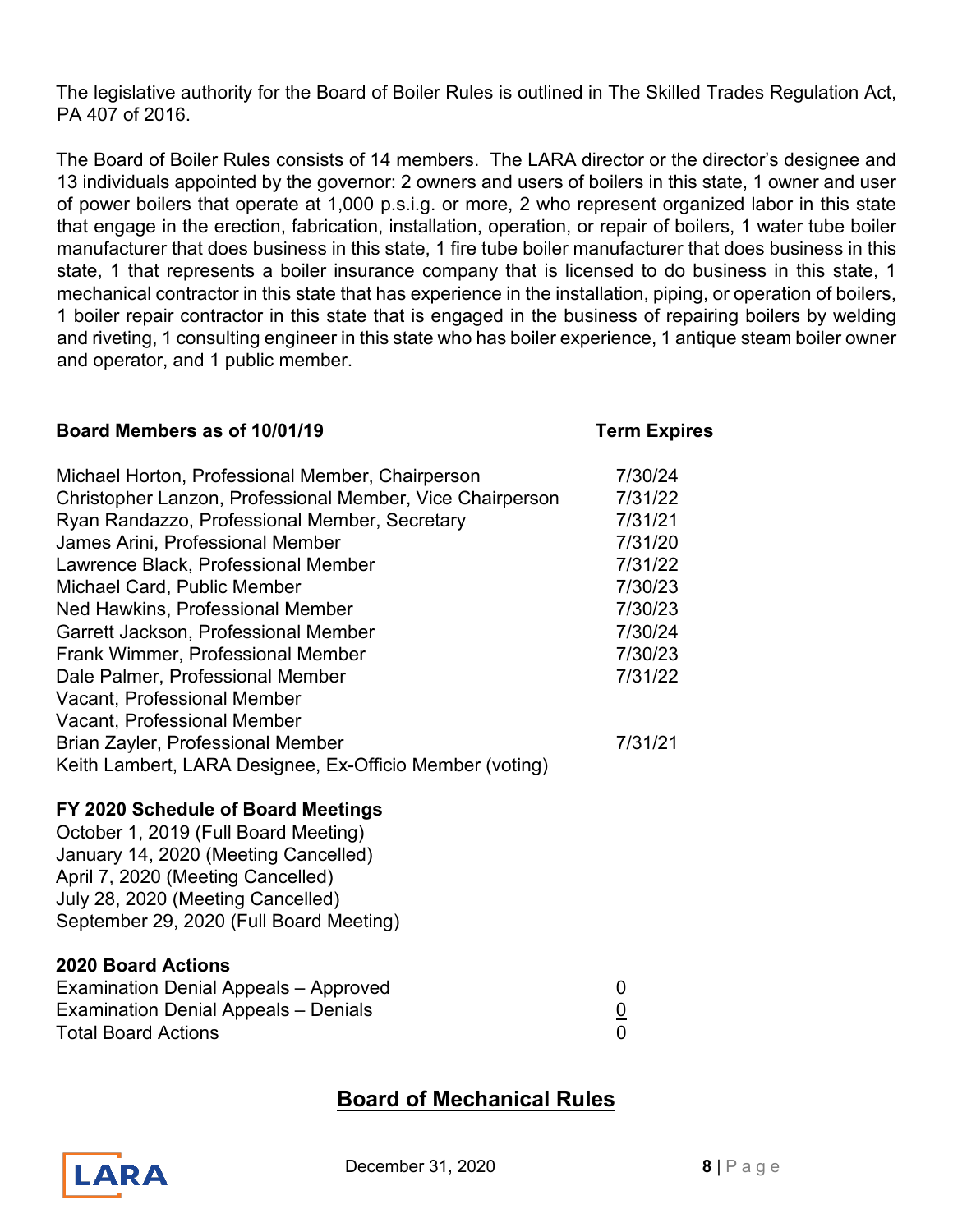The legislative authority for the Board of Boiler Rules is outlined in The Skilled Trades Regulation Act, PA 407 of 2016.

The Board of Boiler Rules consists of 14 members. The LARA director or the director's designee and 13 individuals appointed by the governor: 2 owners and users of boilers in this state, 1 owner and user of power boilers that operate at 1,000 p.s.i.g. or more, 2 who represent organized labor in this state that engage in the erection, fabrication, installation, operation, or repair of boilers, 1 water tube boiler manufacturer that does business in this state, 1 fire tube boiler manufacturer that does business in this state, 1 that represents a boiler insurance company that is licensed to do business in this state, 1 mechanical contractor in this state that has experience in the installation, piping, or operation of boilers, 1 boiler repair contractor in this state that is engaged in the business of repairing boilers by welding and riveting, 1 consulting engineer in this state who has boiler experience, 1 antique steam boiler owner and operator, and 1 public member.

## **Board Members as of 10/01/19 Term Expires**

| Michael Horton, Professional Member, Chairperson<br>Christopher Lanzon, Professional Member, Vice Chairperson<br>Ryan Randazzo, Professional Member, Secretary<br>James Arini, Professional Member | 7/30/24<br>7/31/22<br>7/31/21<br>7/31/20 |
|----------------------------------------------------------------------------------------------------------------------------------------------------------------------------------------------------|------------------------------------------|
| Lawrence Black, Professional Member<br>Michael Card, Public Member                                                                                                                                 | 7/31/22<br>7/30/23                       |
| Ned Hawkins, Professional Member                                                                                                                                                                   | 7/30/23                                  |
| Garrett Jackson, Professional Member                                                                                                                                                               | 7/30/24                                  |
| <b>Frank Wimmer, Professional Member</b>                                                                                                                                                           | 7/30/23                                  |
| Dale Palmer, Professional Member                                                                                                                                                                   | 7/31/22                                  |
| Vacant, Professional Member                                                                                                                                                                        |                                          |
| <b>Vacant, Professional Member</b>                                                                                                                                                                 |                                          |
| Brian Zayler, Professional Member                                                                                                                                                                  | 7/31/21                                  |
| Keith Lambert, LARA Designee, Ex-Officio Member (voting)                                                                                                                                           |                                          |
| FV AAAA Askaaliis sf Baand Maatin                                                                                                                                                                  |                                          |

# **FY 2020 Schedule of Board Meetings**

October 1, 2019 (Full Board Meeting) January 14, 2020 (Meeting Cancelled) April 7, 2020 (Meeting Cancelled) July 28, 2020 (Meeting Cancelled) September 29, 2020 (Full Board Meeting)

## **2020 Board Actions**

| Examination Denial Appeals - Approved |  |
|---------------------------------------|--|
| Examination Denial Appeals - Denials  |  |
| <b>Total Board Actions</b>            |  |

# **Board of Mechanical Rules**



**December 31, 2020 8** | Page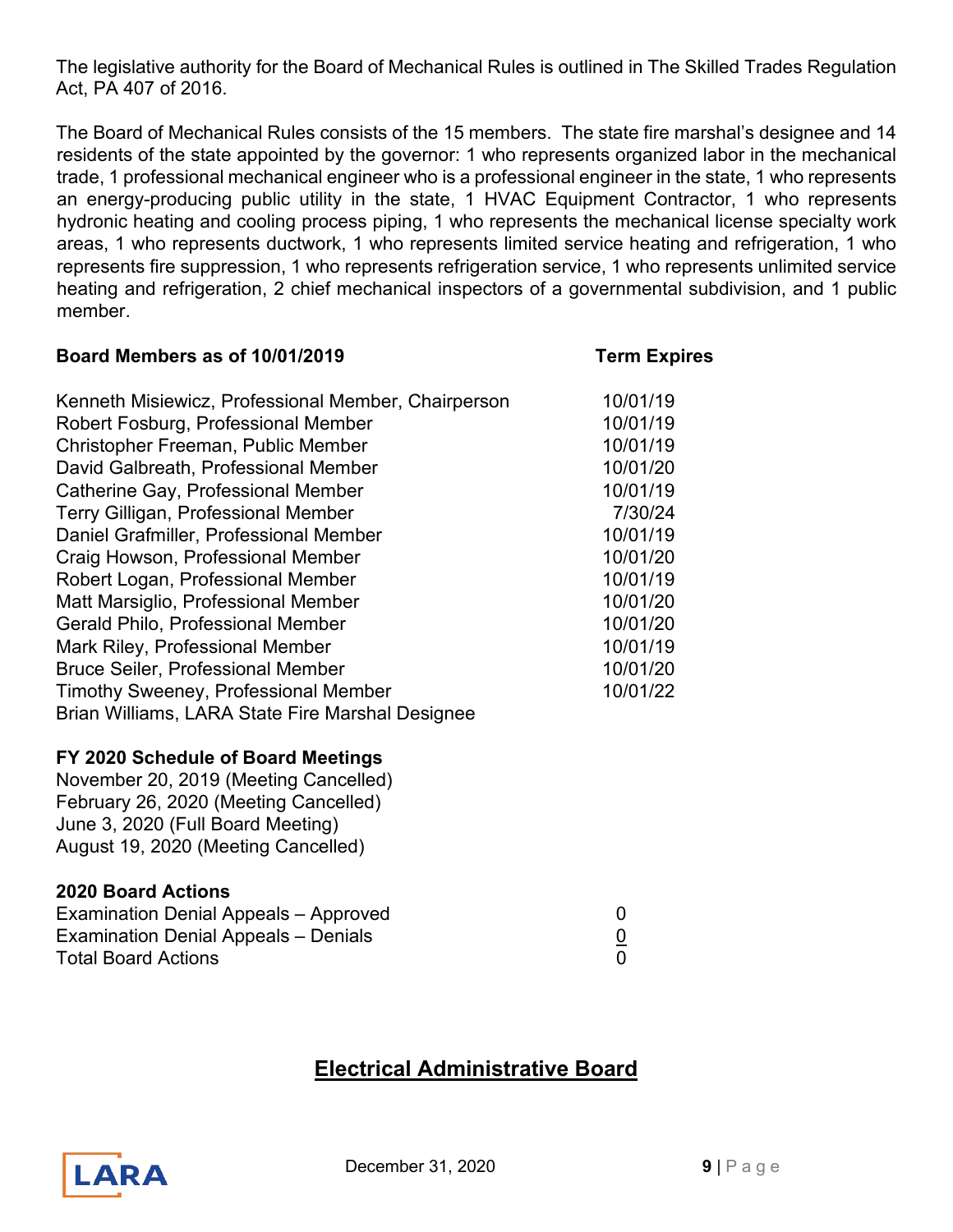The legislative authority for the Board of Mechanical Rules is outlined in The Skilled Trades Regulation Act, PA 407 of 2016.

The Board of Mechanical Rules consists of the 15 members. The state fire marshal's designee and 14 residents of the state appointed by the governor: 1 who represents organized labor in the mechanical trade, 1 professional mechanical engineer who is a professional engineer in the state, 1 who represents an energy-producing public utility in the state, 1 HVAC Equipment Contractor, 1 who represents hydronic heating and cooling process piping, 1 who represents the mechanical license specialty work areas, 1 who represents ductwork, 1 who represents limited service heating and refrigeration, 1 who represents fire suppression, 1 who represents refrigeration service, 1 who represents unlimited service heating and refrigeration, 2 chief mechanical inspectors of a governmental subdivision, and 1 public member.

| Board Members as of 10/01/2019                      | <b>Term Expires</b> |
|-----------------------------------------------------|---------------------|
| Kenneth Misiewicz, Professional Member, Chairperson | 10/01/19            |
| Robert Fosburg, Professional Member                 | 10/01/19            |
| Christopher Freeman, Public Member                  | 10/01/19            |
| David Galbreath, Professional Member                | 10/01/20            |
| Catherine Gay, Professional Member                  | 10/01/19            |
| Terry Gilligan, Professional Member                 | 7/30/24             |
| Daniel Grafmiller, Professional Member              | 10/01/19            |
| Craig Howson, Professional Member                   | 10/01/20            |
| Robert Logan, Professional Member                   | 10/01/19            |
| Matt Marsiglio, Professional Member                 | 10/01/20            |
| <b>Gerald Philo, Professional Member</b>            | 10/01/20            |
| Mark Riley, Professional Member                     | 10/01/19            |
| <b>Bruce Seiler, Professional Member</b>            | 10/01/20            |
| <b>Timothy Sweeney, Professional Member</b>         | 10/01/22            |
| Brian Williams, LARA State Fire Marshal Designee    |                     |
| FY 2020 Schedule of Board Meetings                  |                     |
| November 20, 2019 (Meeting Cancelled)               |                     |
| February 26, 2020 (Meeting Cancelled)               |                     |
| June 3, 2020 (Full Board Meeting)                   |                     |
| August 19, 2020 (Meeting Cancelled)                 |                     |
| <b>2020 Board Actions</b>                           |                     |

| Examination Denial Appeals - Approved |  |
|---------------------------------------|--|
| Examination Denial Appeals - Denials  |  |
| <b>Total Board Actions</b>            |  |

# **Electrical Administrative Board**



**December 31, 2020 9** | Page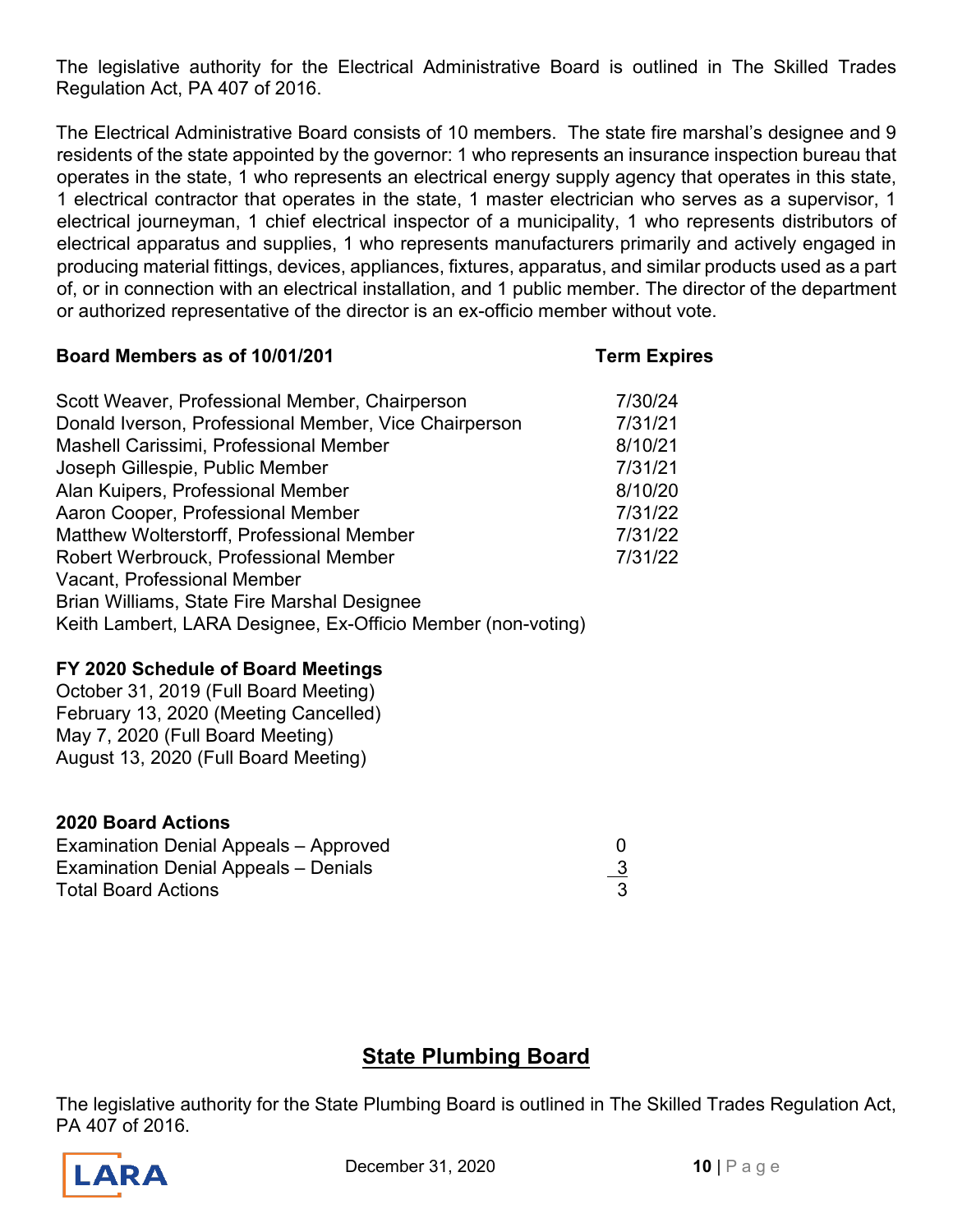The legislative authority for the Electrical Administrative Board is outlined in The Skilled Trades Regulation Act, PA 407 of 2016.

The Electrical Administrative Board consists of 10 members. The state fire marshal's designee and 9 residents of the state appointed by the governor: 1 who represents an insurance inspection bureau that operates in the state, 1 who represents an electrical energy supply agency that operates in this state, 1 electrical contractor that operates in the state, 1 master electrician who serves as a supervisor, 1 electrical journeyman, 1 chief electrical inspector of a municipality, 1 who represents distributors of electrical apparatus and supplies, 1 who represents manufacturers primarily and actively engaged in producing material fittings, devices, appliances, fixtures, apparatus, and similar products used as a part of, or in connection with an electrical installation, and 1 public member. The director of the department or authorized representative of the director is an ex-officio member without vote.

#### **Board Members as of 10/01/201 Term Expires**

| Scott Weaver, Professional Member, Chairperson               | 7/30/24 |
|--------------------------------------------------------------|---------|
| Donald Iverson, Professional Member, Vice Chairperson        | 7/31/21 |
| Mashell Carissimi, Professional Member                       | 8/10/21 |
| Joseph Gillespie, Public Member                              | 7/31/21 |
| Alan Kuipers, Professional Member                            | 8/10/20 |
| Aaron Cooper, Professional Member                            | 7/31/22 |
| Matthew Wolterstorff, Professional Member                    | 7/31/22 |
| Robert Werbrouck, Professional Member                        | 7/31/22 |
| Vacant, Professional Member                                  |         |
| Brian Williams, State Fire Marshal Designee                  |         |
| Keith Lambert, LARA Designee, Ex-Officio Member (non-voting) |         |

# **FY 2020 Schedule of Board Meetings**

October 31, 2019 (Full Board Meeting) February 13, 2020 (Meeting Cancelled) May 7, 2020 (Full Board Meeting) August 13, 2020 (Full Board Meeting)

## **2020 Board Actions**

| Examination Denial Appeals - Approved |           |
|---------------------------------------|-----------|
| Examination Denial Appeals - Denials  | <u>_3</u> |
| <b>Total Board Actions</b>            |           |

# **State Plumbing Board**

The legislative authority for the State Plumbing Board is outlined in The Skilled Trades Regulation Act, PA 407 of 2016.



**December 31, 2020 10** | Page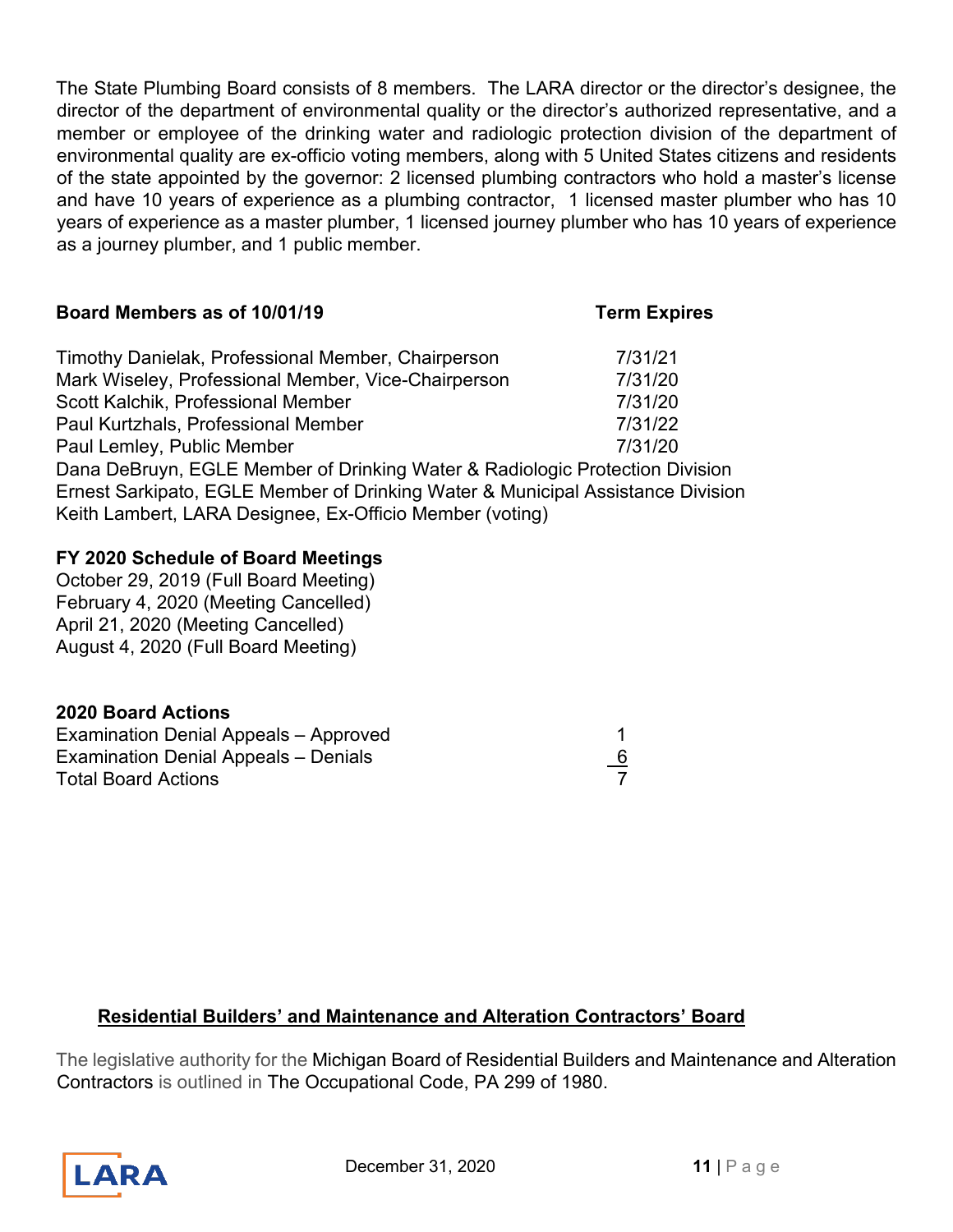The State Plumbing Board consists of 8 members. The LARA director or the director's designee, the director of the department of environmental quality or the director's authorized representative, and a member or employee of the drinking water and radiologic protection division of the department of environmental quality are ex-officio voting members, along with 5 United States citizens and residents of the state appointed by the governor: 2 licensed plumbing contractors who hold a master's license and have 10 years of experience as a plumbing contractor, 1 licensed master plumber who has 10 years of experience as a master plumber, 1 licensed journey plumber who has 10 years of experience as a journey plumber, and 1 public member.

| <b>PORTY MUSTINGTS AS OF TURNITY</b>                                         | <b>I AIII FYNIIL</b> |
|------------------------------------------------------------------------------|----------------------|
| Timothy Danielak, Professional Member, Chairperson                           | 7/31/21              |
| Mark Wiseley, Professional Member, Vice-Chairperson                          | 7/31/20              |
| Scott Kalchik, Professional Member                                           | 7/31/20              |
| Paul Kurtzhals, Professional Member                                          | 7/31/22              |
| Paul Lemley, Public Member                                                   | 7/31/20              |
| Dana DeBruyn, EGLE Member of Drinking Water & Radiologic Protection Division |                      |

**Board Members as of 10/01/19 Term Expires**

Ernest Sarkipato, EGLE Member of Drinking Water & Municipal Assistance Division Keith Lambert, LARA Designee, Ex-Officio Member (voting)

## **FY 2020 Schedule of Board Meetings**

October 29, 2019 (Full Board Meeting) February 4, 2020 (Meeting Cancelled) April 21, 2020 (Meeting Cancelled) August 4, 2020 (Full Board Meeting)

## **2020 Board Actions**

| Examination Denial Appeals - Approved |           |
|---------------------------------------|-----------|
| Examination Denial Appeals - Denials  | <u>_6</u> |
| <b>Total Board Actions</b>            |           |

## **Residential Builders' and Maintenance and Alteration Contractors' Board**

The legislative authority for the Michigan Board of Residential Builders and Maintenance and Alteration Contractors is outlined in The Occupational Code, PA 299 of 1980.